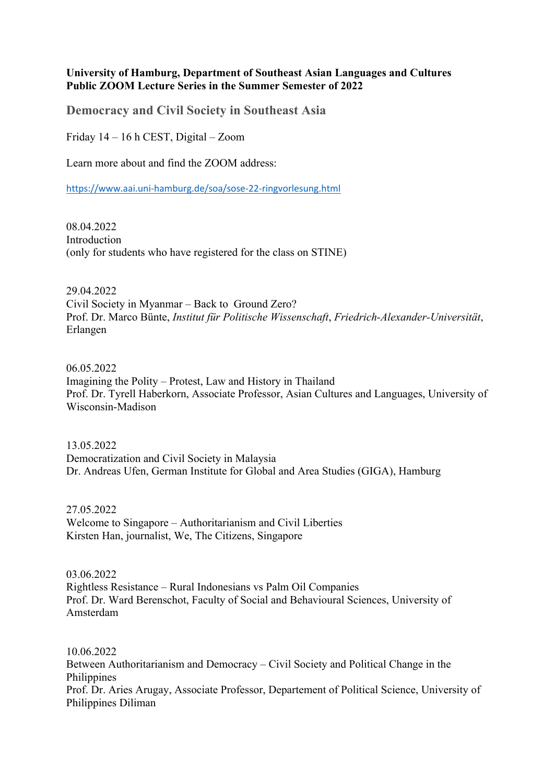### **University of Hamburg, Department of Southeast Asian Languages and Cultures Public ZOOM Lecture Series in the Summer Semester of 2022**

**Democracy and Civil Society in Southeast Asia**

Friday 14 – 16 h CEST, Digital – Zoom

Learn more about and find the ZOOM address:

https://www.aai.uni-hamburg.de/soa/sose-22-ringvorlesung.html

08.04.2022 Introduction (only for students who have registered for the class on STINE)

29.04.2022

Civil Society in Myanmar – Back to Ground Zero? Prof. Dr. Marco Bünte, *Institut für Politische Wissenschaft*, *Friedrich-Alexander-Universität*, Erlangen

06.05.2022 Imagining the Polity – Protest, Law and History in Thailand Prof. Dr. Tyrell Haberkorn, Associate Professor, Asian Cultures and Languages, University of Wisconsin-Madison

13.05.2022 Democratization and Civil Society in Malaysia Dr. Andreas Ufen, German Institute for Global and Area Studies (GIGA), Hamburg

27.05.2022 Welcome to Singapore – Authoritarianism and Civil Liberties Kirsten Han, journalist, We, The Citizens, Singapore

03.06.2022 Rightless Resistance – Rural Indonesians vs Palm Oil Companies Prof. Dr. Ward Berenschot, Faculty of Social and Behavioural Sciences, University of Amsterdam

10.06.2022 Between Authoritarianism and Democracy – Civil Society and Political Change in the Philippines Prof. Dr. Aries Arugay, Associate Professor, Departement of Political Science, University of Philippines Diliman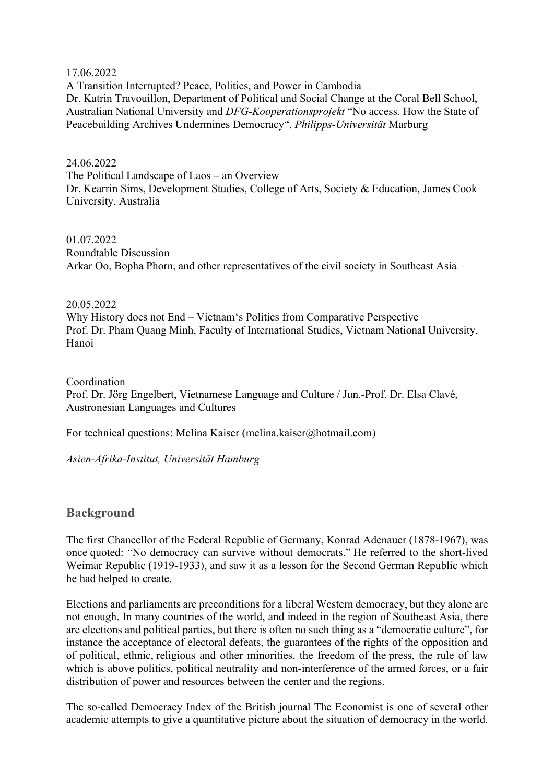17.06.2022

A Transition Interrupted? Peace, Politics, and Power in Cambodia Dr. Katrin Travouillon, Department of Political and Social Change at the Coral Bell School, Australian National University and *DFG-Kooperationsprojekt* "No access. How the State of Peacebuilding Archives Undermines Democracy", *Philipps-Universität* Marburg

#### 24.06.2022

The Political Landscape of Laos – an Overview Dr. Kearrin Sims, Development Studies, College of Arts, Society & Education, James Cook University, Australia

## 01.07.2022

Roundtable Discussion Arkar Oo, Bopha Phorn, and other representatives of the civil society in Southeast Asia

### 20.05.2022

Why History does not End – Vietnam's Politics from Comparative Perspective Prof. Dr. Pham Quang Minh, Faculty of International Studies, Vietnam National University, Hanoi

## Coordination Prof. Dr. Jörg Engelbert, Vietnamese Language and Culture / Jun.-Prof. Dr. Elsa Clavé, Austronesian Languages and Cultures

For technical questions: Melina Kaiser (melina.kaiser@hotmail.com)

*Asien-Afrika-Institut, Universität Hamburg*

# **Background**

The first Chancellor of the Federal Republic of Germany, Konrad Adenauer (1878-1967), was once quoted: "No democracy can survive without democrats." He referred to the short-lived Weimar Republic (1919-1933), and saw it as a lesson for the Second German Republic which he had helped to create.

Elections and parliaments are preconditions for a liberal Western democracy, but they alone are not enough. In many countries of the world, and indeed in the region of Southeast Asia, there are elections and political parties, but there is often no such thing as a "democratic culture", for instance the acceptance of electoral defeats, the guarantees of the rights of the opposition and of political, ethnic, religious and other minorities, the freedom of the press, the rule of law which is above politics, political neutrality and non-interference of the armed forces, or a fair distribution of power and resources between the center and the regions.

The so-called Democracy Index of the British journal The Economist is one of several other academic attempts to give a quantitative picture about the situation of democracy in the world.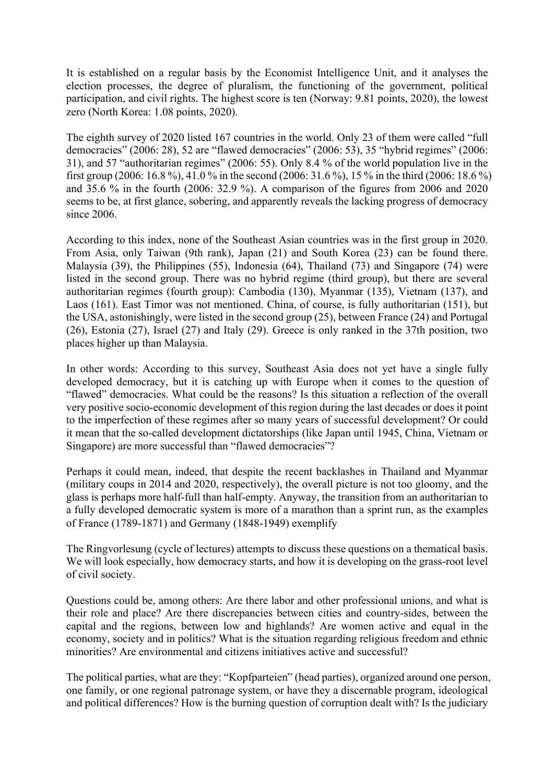It is established on a regular basis by the Economist Intelligence Unit, and it analyses the election processes, the degree of pluralism, the functioning of the government, political participation, and civil rights. The highest score is ten (Norway: 9.81 points, 2020), the lowest zero (North Korea: 1.08 points, 2020).

The eighth survey of 2020 listed 167 countries in the world. Only 23 of them were called "full democracies" (2006: 28), 52 are "flawed democracies" (2006: 53), 35 "hybrid regimes" (2006: 31), and 57 "authoritarian regimes" (2006: 55). Only 8.4 % of the world population live in the first group (2006: 16.8 %), 41.0 % in the second (2006: 31.6 %), 15 % in the third (2006: 18.6 %) and 35.6 % in the fourth (2006: 32.9 %). A comparison of the figures from 2006 and 2020 seems to be, at first glance, sobering, and apparently reveals the lacking progress of democracy since 2006.

According to this index, none of the Southeast Asian countries was in the first group in 2020. From Asia, only Taiwan (9th rank), Japan (21) and South Korea (23) can be found there. Malaysia (39), the Philippines (55), Indonesia (64), Thailand (73) and Singapore (74) were listed in the second group. There was no hybrid regime (third group), but there are several authoritarian regimes (fourth group): Cambodia (130), Myanmar (135), Vietnam (137), and Laos (161). East Timor was not mentioned. China, of course, is fully authoritarian (151), but the USA, astonishingly, were listed in the second group (25), between France (24) and Portugal (26), Estonia (27), Israel (27) and Italy (29). Greece is only ranked in the 37th position, two places higher up than Malaysia.

In other words: According to this survey, Southeast Asia does not yet have a single fully developed democracy, but it is catching up with Europe when it comes to the question of "flawed" democracies. What could be the reasons? Is this situation a reflection of the overall very positive socio-economic development of this region during the last decades or does it point to the imperfection of these regimes after so many years of successful development? Or could it mean that the so-called development dictatorships (like Japan until 1945, China, Vietnam or Singapore) are more successful than "flawed democracies"?

Perhaps it could mean, indeed, that despite the recent backlashes in Thailand and Myanmar (military coups in 2014 and 2020, respectively), the overall picture is not too gloomy, and the glass is perhaps more half-full than half-empty. Anyway, the transition from an authoritarian to a fully developed democratic system is more of a marathon than a sprint run, as the examples of France (1789-1871) and Germany (1848-1949) exemplify

The Ringvorlesung (cycle of lectures) attempts to discuss these questions on a thematical basis. We will look especially, how democracy starts, and how it is developing on the grass-root level of civil society.

Questions could be, among others: Are there labor and other professional unions, and what is their role and place? Are there discrepancies between cities and country-sides, between the capital and the regions, between low and highlands? Are women active and equal in the economy, society and in politics? What is the situation regarding religious freedom and ethnic minorities? Are environmental and citizens initiatives active and successful?

The political parties, what are they: "Kopfparteien" (head parties), organized around one person, one family, or one regional patronage system, or have they a discernable program, ideological and political differences? How is the burning question of corruption dealt with? Is the judiciary